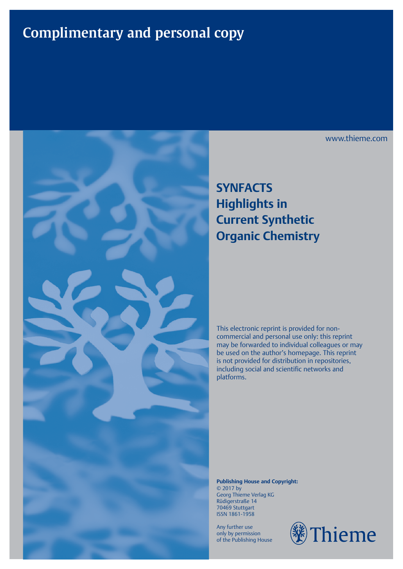## **Complimentary and personal copy**



## **SYNFACTS Highlights in Current Synthetic Organic Chemistry**

This electronic reprint is provided for noncommercial and personal use only: this reprint may be forwarded to individual colleagues or may be used on the author's homepage. This reprint is not provided for distribution in repositories, including social and scientific networks and platforms.

**Publishing House and Copyright:** © 2017 by Georg Thieme Verlag KG Rüdigerstraße 14 70469 Stuttgart ISSN 1861-1958

Any further use only by permission of the Publishing House



www.thieme.com